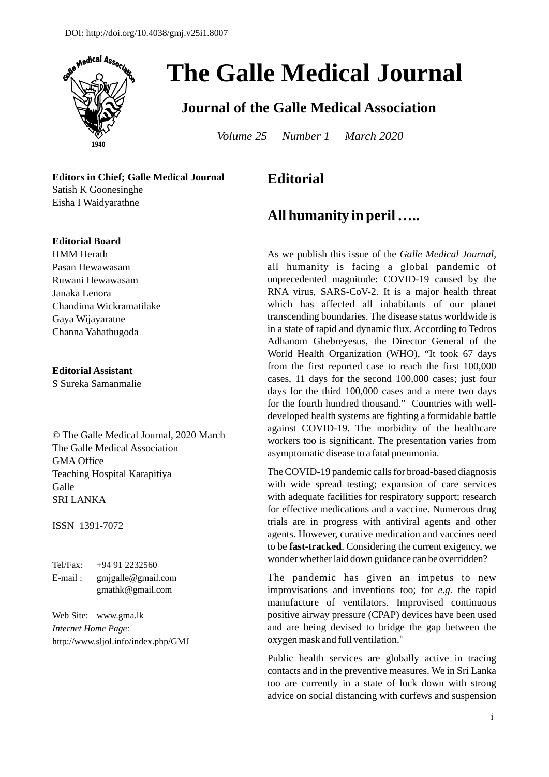

# **The Galle Medical Journal**

## **Journal of the Galle Medical Association**

*Volume 25 Number 1 March 2020* 

**Editors in Chief; Galle Medical Journal**  Satish K Goonesinghe Eisha I Waidyarathne

#### **Editorial Board**

HMM Herath Pasan Hewawasam Ruwani Hewawasam Janaka Lenora Chandima Wickramatilake Gaya Wijayaratne Channa Yahathugoda

#### **Editorial Assistant**

S Sureka Samanmalie

© The Galle Medical Journal, 2020 March The Galle Medical Association GMA Office Teaching Hospital Karapitiya Galle SRI LANKA

#### ISSN 1391-7072

| $Tel/Fax$ : | $+94912232560$        |
|-------------|-----------------------|
| E-mail:     | $g$ mjgalle@gmail.com |
|             | $g$ mathk@gmail.com   |

Web Site: www.gma.lk *Internet Home Page:*  http://www.sljol.info/index.php/GMJ

## **Editorial**

### **All humanity in peril …..**

As we publish this issue of the *Galle Medical Journal*, all humanity is facing a global pandemic of unprecedented magnitude: COVID-19 caused by the RNA virus, SARS-CoV-2. It is a major health threat which has affected all inhabitants of our planet transcending boundaries. The disease status worldwide is in a state of rapid and dynamic flux. According to Tedros Adhanom Ghebreyesus, the Director General of the World Health Organization (WHO), "It took 67 days from the first reported case to reach the first 100,000 cases, 11 days for the second 100,000 cases; just four days for the third 100,000 cases and a mere two days for the fourth hundred thousand." Countries with welldeveloped health systems are fighting a formidable battle against COVID-19. The morbidity of the healthcare workers too is significant. The presentation varies from asymptomatic disease to a fatal pneumonia.

The COVID-19 pandemic calls for broad-based diagnosis with wide spread testing; expansion of care services with adequate facilities for respiratory support; research for effective medications and a vaccine. Numerous drug trials are in progress with antiviral agents and other agents. However, curative medication and vaccines need to be **fast-tracked**. Considering the current exigency, we wonder whether laid down guidance can be overridden?

The pandemic has given an impetus to new improvisations and inventions too; for *e.g.* the rapid manufacture of ventilators. Improvised continuous positive airway pressure (CPAP) devices have been used and are being devised to bridge the gap between the oxygen mask and full ventilation.<sup>ii</sup>

Public health services are globally active in tracing contacts and in the preventive measures. We in Sri Lanka too are currently in a state of lock down with strong advice on social distancing with curfews and suspension